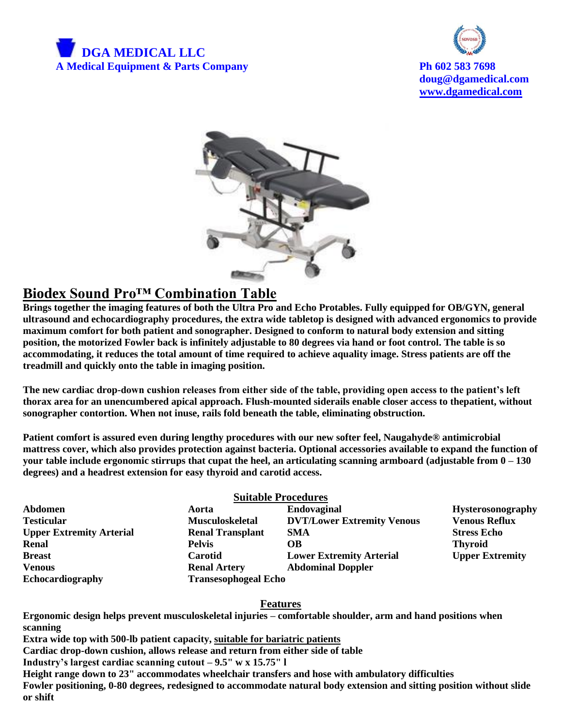



**doug@dgamedical.com [www.dgamedical.com](http://www.dgamedical.com/)**



# **Biodex Sound Pro™ Combination Table**

**Brings together the imaging features of both the Ultra Pro and Echo Protables. Fully equipped for OB/GYN, general ultrasound and echocardiography procedures, the extra wide tabletop is designed with advanced ergonomics to provide maximum comfort for both patient and sonographer. Designed to conform to natural body extension and sitting position, the motorized Fowler back is infinitely adjustable to 80 degrees via hand or foot control. The table is so accommodating, it reduces the total amount of time required to achieve aquality image. Stress patients are off the treadmill and quickly onto the table in imaging position.**

**The new cardiac drop-down cushion releases from either side of the table, providing open access to the patient's left thorax area for an unencumbered apical approach. Flush-mounted siderails enable closer access to thepatient, without sonographer contortion. When not inuse, rails fold beneath the table, eliminating obstruction.**

**Patient comfort is assured even during lengthy procedures with our new softer feel, Naugahyde® antimicrobial mattress cover, which also provides protection against bacteria. Optional accessories available to expand the function of your table include ergonomic stirrups that cupat the heel, an articulating scanning armboard (adjustable from 0 – 130 degrees) and a headrest extension for easy thyroid and carotid access.**

# **Suitable Procedures**

**Abdomen Aorta Endovaginal Hysterosonography Testicular Musculoskeletal DVT/Lower Extremity Venous Venous Reflux Upper Extremity Arterial Renal Transplant SMA Stress Echo Renal Pelvis OB Thyroid Breast** Carotid **Carotid Lower Extremity Arterial Upper Extremity Venous Renal Artery Abdominal Doppler Echocardiography Transesophogeal Echo** 

# **Features**

**Ergonomic design helps prevent musculoskeletal injuries – comfortable shoulder, arm and hand positions when scanning**

**Extra wide top with 500-lb patient capacity, suitable for bariatric patients**

**Cardiac drop-down cushion, allows release and return from either side of table**

**Industry's largest cardiac scanning cutout – 9.5" w x 15.75" l**

**Height range down to 23" accommodates wheelchair transfers and hose with ambulatory difficulties Fowler positioning, 0-80 degrees, redesigned to accommodate natural body extension and sitting position without slide or shift**